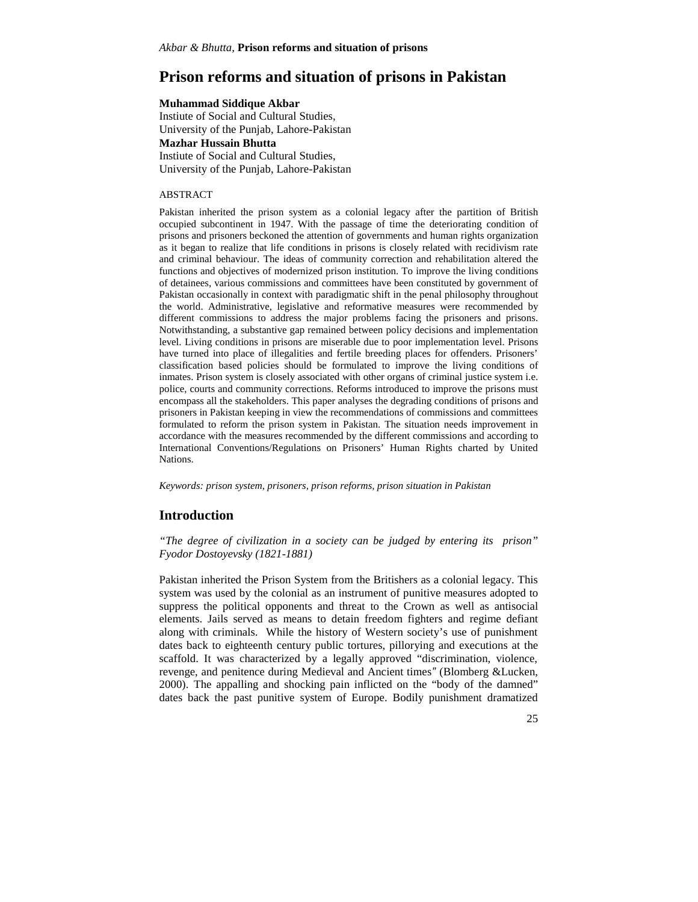# **Prison reforms and situation of prisons in Pakistan**

#### **Muhammad Siddique Akbar**

Instiute of Social and Cultural Studies, University of the Punjab, Lahore-Pakistan **Mazhar Hussain Bhutta** Instiute of Social and Cultural Studies, University of the Punjab, Lahore-Pakistan

#### ABSTRACT

Pakistan inherited the prison system as a colonial legacy after the partition of British occupied subcontinent in 1947. With the passage of time the deteriorating condition of prisons and prisoners beckoned the attention of governments and human rights organization as it began to realize that life conditions in prisons is closely related with recidivism rate and criminal behaviour. The ideas of community correction and rehabilitation altered the functions and objectives of modernized prison institution. To improve the living conditions of detainees, various commissions and committees have been constituted by government of Pakistan occasionally in context with paradigmatic shift in the penal philosophy throughout the world. Administrative, legislative and reformative measures were recommended by different commissions to address the major problems facing the prisoners and prisons. Notwithstanding, a substantive gap remained between policy decisions and implementation level. Living conditions in prisons are miserable due to poor implementation level. Prisons have turned into place of illegalities and fertile breeding places for offenders. Prisoners' classification based policies should be formulated to improve the living conditions of inmates. Prison system is closely associated with other organs of criminal justice system i.e. police, courts and community corrections. Reforms introduced to improve the prisons must encompass all the stakeholders. This paper analyses the degrading conditions of prisons and prisoners in Pakistan keeping in view the recommendations of commissions and committees formulated to reform the prison system in Pakistan. The situation needs improvement in accordance with the measures recommended by the different commissions and according to International Conventions/Regulations on Prisoners' Human Rights charted by United Nations.

*Keywords: prison system, prisoners, prison reforms, prison situation in Pakistan*

## **Introduction**

*"The degree of civilization in a society can be judged by entering its prison" Fyodor Dostoyevsky (1821-1881)*

Pakistan inherited the Prison System from the Britishers as a colonial legacy. This system was used by the colonial as an instrument of punitive measures adopted to suppress the political opponents and threat to the Crown as well as antisocial elements. Jails served as means to detain freedom fighters and regime defiant along with criminals. While the history of Western society's use of punishment dates back to eighteenth century public tortures, pillorying and executions at the scaffold. It was characterized by a legally approved "discrimination, violence, revenge, and penitence during Medieval and Ancient times*"* (Blomberg &Lucken, 2000). The appalling and shocking pain inflicted on the "body of the damned" dates back the past punitive system of Europe. Bodily punishment dramatized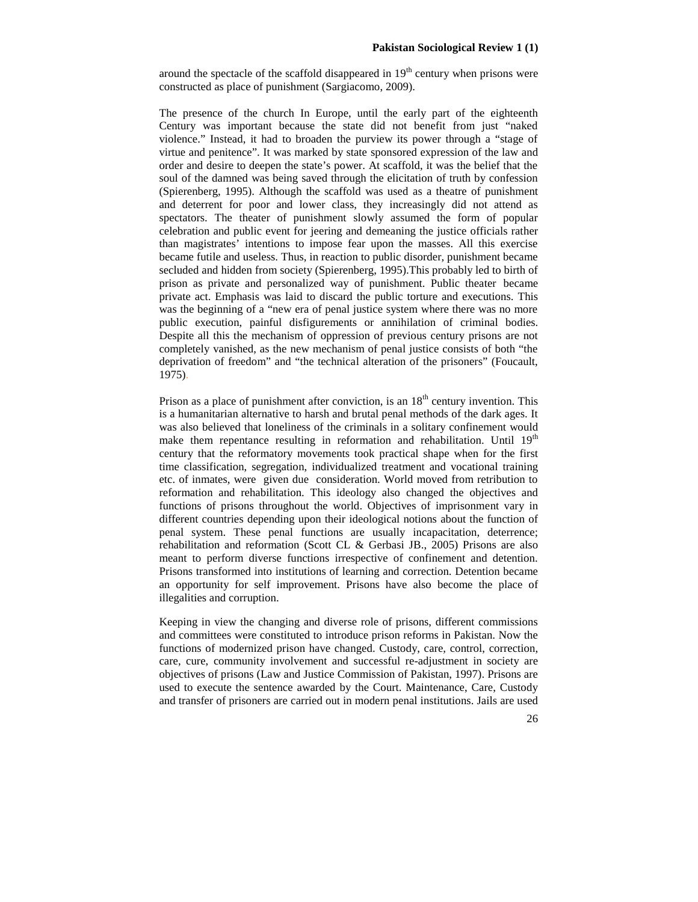around the spectacle of the scaffold disappeared in  $19<sup>th</sup>$  century when prisons were constructed as place of punishment (Sargiacomo, 2009).

The presence of the church In Europe, until the early part of the eighteenth Century was important because the state did not benefit from just "naked violence." Instead, it had to broaden the purview its power through a "stage of virtue and penitence". It was marked by state sponsored expression of the law and order and desire to deepen the state's power. At scaffold, it was the belief that the soul of the damned was being saved through the elicitation of truth by confession (Spierenberg, 1995). Although the scaffold was used as a theatre of punishment and deterrent for poor and lower class, they increasingly did not attend as spectators. The theater of punishment slowly assumed the form of popular celebration and public event for jeering and demeaning the justice officials rather than magistrates' intentions to impose fear upon the masses. All this exercise became futile and useless. Thus, in reaction to public disorder, punishment became secluded and hidden from society (Spierenberg, 1995).This probably led to birth of prison as private and personalized way of punishment. Public theater became private act. Emphasis was laid to discard the public torture and executions. This was the beginning of a "new era of penal justice system where there was no more public execution, painful disfigurements or annihilation of criminal bodies. Despite all this the mechanism of oppression of previous century prisons are not completely vanished, as the new mechanism of penal justice consists of both "the deprivation of freedom" and "the technical alteration of the prisoners" (Foucault, 1975).

Prison as a place of punishment after conviction, is an  $18<sup>th</sup>$  century invention. This is a humanitarian alternative to harsh and brutal penal methods of the dark ages. It was also believed that loneliness of the criminals in a solitary confinement would make them repentance resulting in reformation and rehabilitation. Until  $19<sup>th</sup>$ century that the reformatory movements took practical shape when for the first time classification, segregation, individualized treatment and vocational training etc. of inmates, were given due consideration. World moved from retribution to reformation and rehabilitation. This ideology also changed the objectives and functions of prisons throughout the world. Objectives of imprisonment vary in different countries depending upon their ideological notions about the function of penal system. These penal functions are usually incapacitation, deterrence; rehabilitation and reformation (Scott CL & Gerbasi JB., 2005) Prisons are also meant to perform diverse functions irrespective of confinement and detention. Prisons transformed into institutions of learning and correction. Detention became an opportunity for self improvement. Prisons have also become the place of illegalities and corruption.

Keeping in view the changing and diverse role of prisons, different commissions and committees were constituted to introduce prison reforms in Pakistan. Now the functions of modernized prison have changed. Custody, care, control, correction, care, cure, community involvement and successful re-adjustment in society are objectives of prisons (Law and Justice Commission of Pakistan, 1997). Prisons are used to execute the sentence awarded by the Court. Maintenance, Care, Custody and transfer of prisoners are carried out in modern penal institutions. Jails are used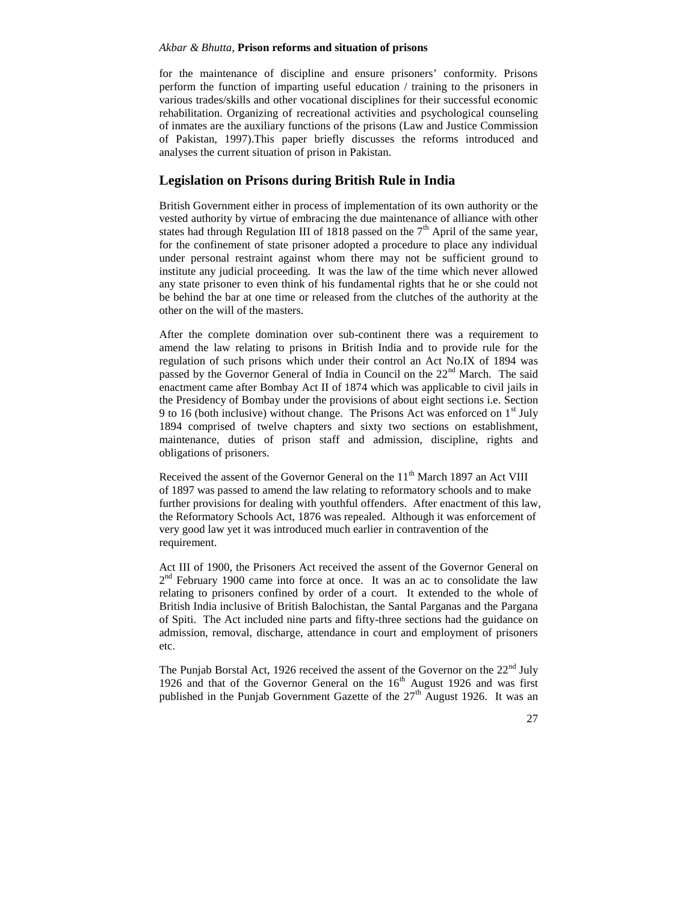for the maintenance of discipline and ensure prisoners' conformity. Prisons perform the function of imparting useful education / training to the prisoners in various trades/skills and other vocational disciplines for their successful economic rehabilitation. Organizing of recreational activities and psychological counseling of inmates are the auxiliary functions of the prisons (Law and Justice Commission of Pakistan, 1997).This paper briefly discusses the reforms introduced and analyses the current situation of prison in Pakistan.

## **Legislation on Prisons during British Rule in India**

British Government either in process of implementation of its own authority or the vested authority by virtue of embracing the due maintenance of alliance with other states had through Regulation III of 1818 passed on the  $7<sup>th</sup>$  April of the same year, for the confinement of state prisoner adopted a procedure to place any individual under personal restraint against whom there may not be sufficient ground to institute any judicial proceeding. It was the law of the time which never allowed any state prisoner to even think of his fundamental rights that he or she could not be behind the bar at one time or released from the clutches of the authority at the other on the will of the masters.

After the complete domination over sub-continent there was a requirement to amend the law relating to prisons in British India and to provide rule for the regulation of such prisons which under their control an Act No.IX of 1894 was passed by the Governor General of India in Council on the  $22<sup>nd</sup>$  March. The said enactment came after Bombay Act II of 1874 which was applicable to civil jails in the Presidency of Bombay under the provisions of about eight sections i.e. Section 9 to 16 (both inclusive) without change. The Prisons Act was enforced on  $1<sup>st</sup>$  July 1894 comprised of twelve chapters and sixty two sections on establishment, maintenance, duties of prison staff and admission, discipline, rights and obligations of prisoners.

Received the assent of the Governor General on the 11<sup>th</sup> March 1897 an Act VIII of 1897 was passed to amend the law relating to reformatory schools and to make further provisions for dealing with youthful offenders. After enactment of this law, the Reformatory Schools Act, 1876 was repealed. Although it was enforcement of very good law yet it was introduced much earlier in contravention of the requirement.

Act III of 1900, the Prisoners Act received the assent of the Governor General on 2<sup>nd</sup> February 1900 came into force at once. It was an ac to consolidate the law relating to prisoners confined by order of a court. It extended to the whole of British India inclusive of British Balochistan, the Santal Parganas and the Pargana of Spiti. The Act included nine parts and fifty-three sections had the guidance on admission, removal, discharge, attendance in court and employment of prisoners etc.

The Punjab Borstal Act, 1926 received the assent of the Governor on the  $22<sup>nd</sup>$  July 1926 and that of the Governor General on the  $16<sup>th</sup>$  August 1926 and was first published in the Punjab Government Gazette of the  $27<sup>th</sup>$  August 1926. It was an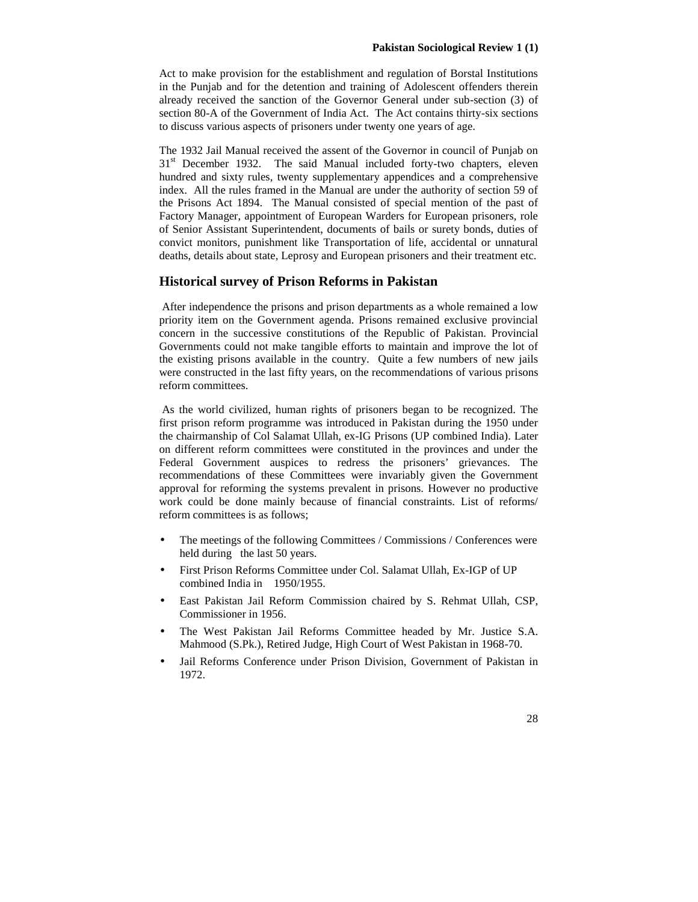Act to make provision for the establishment and regulation of Borstal Institutions in the Punjab and for the detention and training of Adolescent offenders therein already received the sanction of the Governor General under sub-section (3) of section 80-A of the Government of India Act. The Act contains thirty-six sections to discuss various aspects of prisoners under twenty one years of age.

The 1932 Jail Manual received the assent of the Governor in council of Punjab on 31<sup>st</sup> December 1932. The said Manual included forty-two chapters, eleven hundred and sixty rules, twenty supplementary appendices and a comprehensive index. All the rules framed in the Manual are under the authority of section 59 of the Prisons Act 1894. The Manual consisted of special mention of the past of Factory Manager, appointment of European Warders for European prisoners, role of Senior Assistant Superintendent, documents of bails or surety bonds, duties of convict monitors, punishment like Transportation of life, accidental or unnatural deaths, details about state, Leprosy and European prisoners and their treatment etc.

## **Historical survey of Prison Reforms in Pakistan**

After independence the prisons and prison departments as a whole remained a low priority item on the Government agenda. Prisons remained exclusive provincial concern in the successive constitutions of the Republic of Pakistan. Provincial Governments could not make tangible efforts to maintain and improve the lot of the existing prisons available in the country. Quite a few numbers of new jails were constructed in the last fifty years, on the recommendations of various prisons reform committees.

As the world civilized, human rights of prisoners began to be recognized. The first prison reform programme was introduced in Pakistan during the 1950 under the chairmanship of Col Salamat Ullah, ex-IG Prisons (UP combined India). Later on different reform committees were constituted in the provinces and under the Federal Government auspices to redress the prisoners' grievances. The recommendations of these Committees were invariably given the Government approval for reforming the systems prevalent in prisons. However no productive work could be done mainly because of financial constraints. List of reforms/ reform committees is as follows;

- The meetings of the following Committees / Commissions / Conferences were held during the last 50 years.
- First Prison Reforms Committee under Col. Salamat Ullah, Ex-IGP of UP combined India in 1950/1955.
- East Pakistan Jail Reform Commission chaired by S. Rehmat Ullah, CSP, Commissioner in 1956.
- The West Pakistan Jail Reforms Committee headed by Mr. Justice S.A. Mahmood (S.Pk.), Retired Judge, High Court of West Pakistan in 1968-70.
- Jail Reforms Conference under Prison Division, Government of Pakistan in 1972.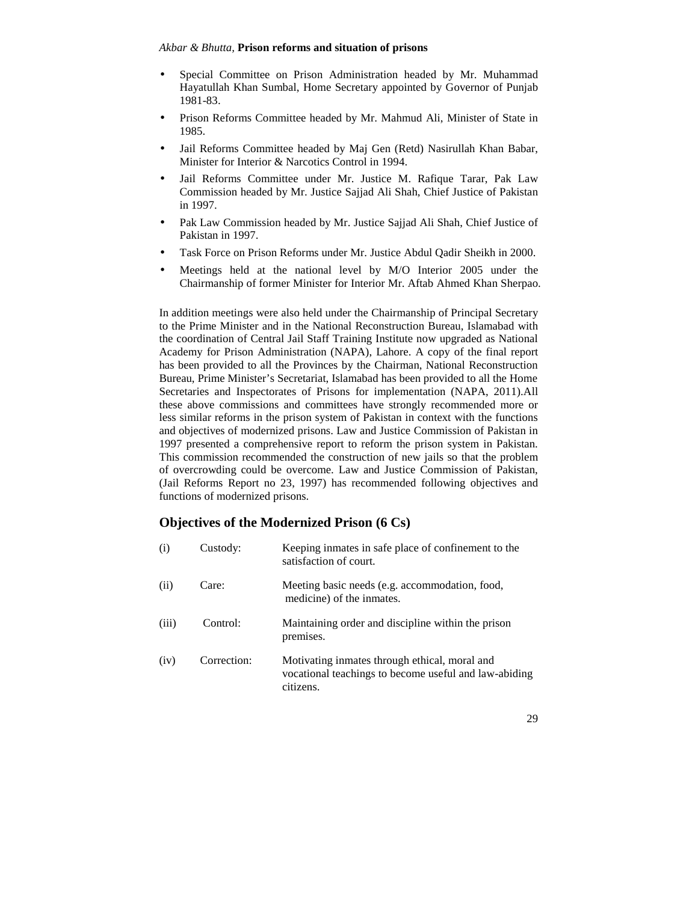- Special Committee on Prison Administration headed by Mr. Muhammad Hayatullah Khan Sumbal, Home Secretary appointed by Governor of Punjab 1981-83.
- Prison Reforms Committee headed by Mr. Mahmud Ali, Minister of State in 1985.
- Jail Reforms Committee headed by Maj Gen (Retd) Nasirullah Khan Babar, Minister for Interior & Narcotics Control in 1994.
- Jail Reforms Committee under Mr. Justice M. Rafique Tarar, Pak Law Commission headed by Mr. Justice Sajjad Ali Shah, Chief Justice of Pakistan in 1997.
- Pak Law Commission headed by Mr. Justice Sajjad Ali Shah, Chief Justice of Pakistan in 1997.
- Task Force on Prison Reforms under Mr. Justice Abdul Qadir Sheikh in 2000.
- Meetings held at the national level by M/O Interior 2005 under the Chairmanship of former Minister for Interior Mr. Aftab Ahmed Khan Sherpao.

In addition meetings were also held under the Chairmanship of Principal Secretary to the Prime Minister and in the National Reconstruction Bureau, Islamabad with the coordination of Central Jail Staff Training Institute now upgraded as National Academy for Prison Administration (NAPA), Lahore. A copy of the final report has been provided to all the Provinces by the Chairman, National Reconstruction Bureau, Prime Minister's Secretariat, Islamabad has been provided to all the Home Secretaries and Inspectorates of Prisons for implementation (NAPA, 2011).All these above commissions and committees have strongly recommended more or less similar reforms in the prison system of Pakistan in context with the functions and objectives of modernized prisons. Law and Justice Commission of Pakistan in 1997 presented a comprehensive report to reform the prison system in Pakistan. This commission recommended the construction of new jails so that the problem of overcrowding could be overcome. Law and Justice Commission of Pakistan, (Jail Reforms Report no 23, 1997) has recommended following objectives and functions of modernized prisons.

## **Objectives of the Modernized Prison (6 Cs)**

| (i)   | Custody:    | Keeping inmates in safe place of confinement to the<br>satisfaction of court.                                       |
|-------|-------------|---------------------------------------------------------------------------------------------------------------------|
| (ii)  | Care:       | Meeting basic needs (e.g. accommodation, food,<br>medicine) of the inmates.                                         |
| (iii) | Control:    | Maintaining order and discipline within the prison<br>premises.                                                     |
| (iv)  | Correction: | Motivating inmates through ethical, moral and<br>vocational teachings to become useful and law-abiding<br>citizens. |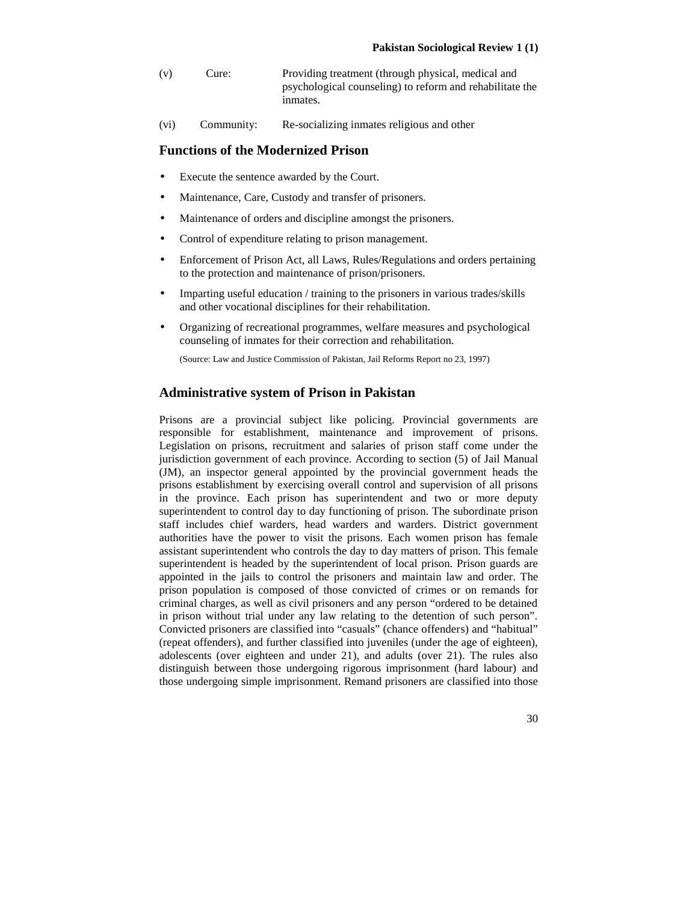- (v) Cure: Providing treatment (through physical, medical and psychological counseling) to reform and rehabilitate the inmates.
- (vi) Community: Re-socializing inmates religious and other

## **Functions of the Modernized Prison**

- Execute the sentence awarded by the Court.
- Maintenance, Care, Custody and transfer of prisoners.
- Maintenance of orders and discipline amongst the prisoners.
- Control of expenditure relating to prison management.
- Enforcement of Prison Act, all Laws, Rules/Regulations and orders pertaining to the protection and maintenance of prison/prisoners.
- Imparting useful education / training to the prisoners in various trades/skills and other vocational disciplines for their rehabilitation.
- Organizing of recreational programmes, welfare measures and psychological counseling of inmates for their correction and rehabilitation.

(Source: Law and Justice Commission of Pakistan, Jail Reforms Report no 23, 1997)

## **Administrative system of Prison in Pakistan**

Prisons are a provincial subject like policing. Provincial governments are responsible for establishment, maintenance and improvement of prisons. Legislation on prisons, recruitment and salaries of prison staff come under the jurisdiction government of each province. According to section (5) of Jail Manual (JM), an inspector general appointed by the provincial government heads the prisons establishment by exercising overall control and supervision of all prisons in the province. Each prison has superintendent and two or more deputy superintendent to control day to day functioning of prison. The subordinate prison staff includes chief warders, head warders and warders. District government authorities have the power to visit the prisons. Each women prison has female assistant superintendent who controls the day to day matters of prison. This female superintendent is headed by the superintendent of local prison. Prison guards are appointed in the jails to control the prisoners and maintain law and order. The prison population is composed of those convicted of crimes or on remands for criminal charges, as well as civil prisoners and any person "ordered to be detained in prison without trial under any law relating to the detention of such person". Convicted prisoners are classified into "casuals" (chance offenders) and "habitual" (repeat offenders), and further classified into juveniles (under the age of eighteen), adolescents (over eighteen and under 21), and adults (over 21). The rules also distinguish between those undergoing rigorous imprisonment (hard labour) and those undergoing simple imprisonment. Remand prisoners are classified into those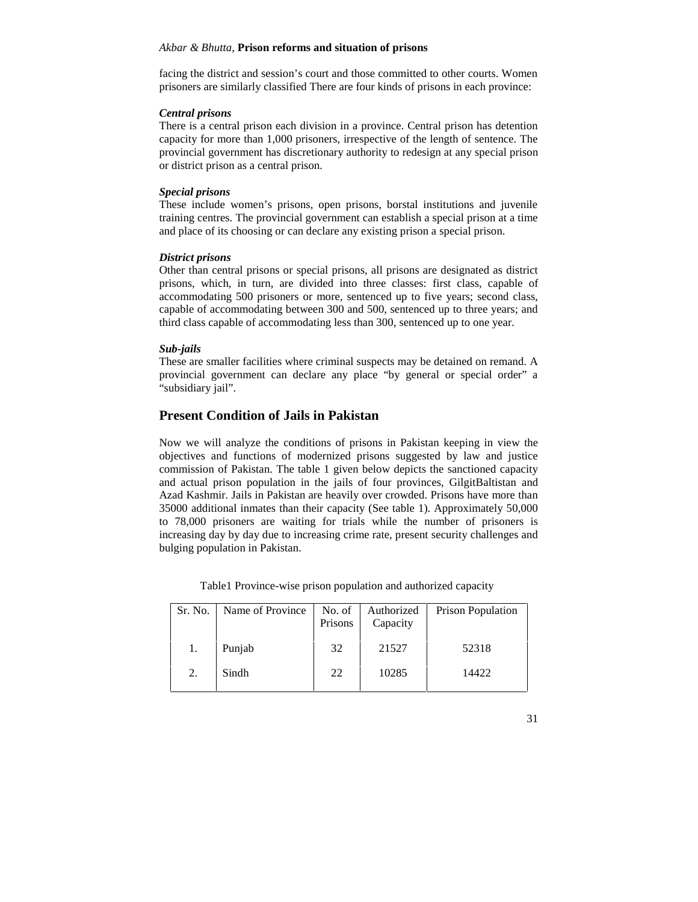facing the district and session's court and those committed to other courts. Women prisoners are similarly classified There are four kinds of prisons in each province:

### *Central prisons*

There is a central prison each division in a province. Central prison has detention capacity for more than 1,000 prisoners, irrespective of the length of sentence. The provincial government has discretionary authority to redesign at any special prison or district prison as a central prison.

### *Special prisons*

These include women's prisons, open prisons, borstal institutions and juvenile training centres. The provincial government can establish a special prison at a time and place of its choosing or can declare any existing prison a special prison.

### *District prisons*

Other than central prisons or special prisons, all prisons are designated as district prisons, which, in turn, are divided into three classes: first class, capable of accommodating 500 prisoners or more, sentenced up to five years; second class, capable of accommodating between 300 and 500, sentenced up to three years; and third class capable of accommodating less than 300, sentenced up to one year.

## *Sub-jails*

These are smaller facilities where criminal suspects may be detained on remand. A provincial government can declare any place "by general or special order" a "subsidiary jail".

## **Present Condition of Jails in Pakistan**

Now we will analyze the conditions of prisons in Pakistan keeping in view the objectives and functions of modernized prisons suggested by law and justice commission of Pakistan. The table 1 given below depicts the sanctioned capacity and actual prison population in the jails of four provinces, GilgitBaltistan and Azad Kashmir. Jails in Pakistan are heavily over crowded. Prisons have more than 35000 additional inmates than their capacity (See table 1). Approximately 50,000 to 78,000 prisoners are waiting for trials while the number of prisoners is increasing day by day due to increasing crime rate, present security challenges and bulging population in Pakistan.

| Sr. No. | Name of Province | No. of<br>Prisons | Authorized<br>Capacity | <b>Prison Population</b> |
|---------|------------------|-------------------|------------------------|--------------------------|
|         | Punjab           | 32                | 21527                  | 52318                    |
| 2.      | Sindh            | 22                | 10285                  | 14422                    |

Table1 Province-wise prison population and authorized capacity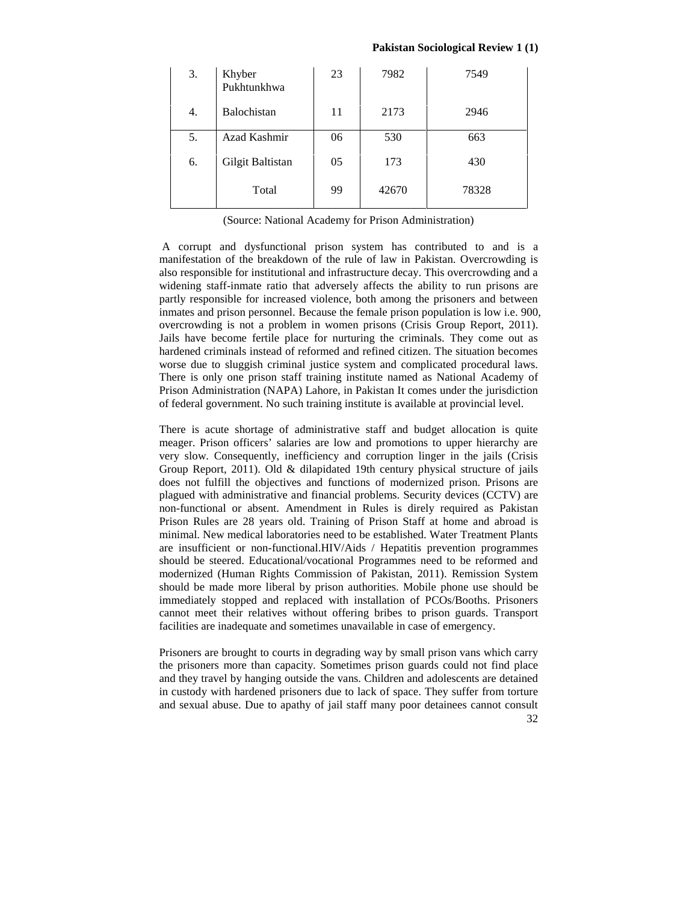#### **Pakistan Sociological Review 1 (1)**

| 3. | Khyber<br>Pukhtunkhwa | 23 | 7982  | 7549  |
|----|-----------------------|----|-------|-------|
| 4. | Balochistan           | 11 | 2173  | 2946  |
| 5. | Azad Kashmir          | 06 | 530   | 663   |
| 6. | Gilgit Baltistan      | 05 | 173   | 430   |
|    | Total                 | 99 | 42670 | 78328 |

(Source: National Academy for Prison Administration)

A corrupt and dysfunctional prison system has contributed to and is a manifestation of the breakdown of the rule of law in Pakistan. Overcrowding is also responsible for institutional and infrastructure decay. This overcrowding and a widening staff-inmate ratio that adversely affects the ability to run prisons are partly responsible for increased violence, both among the prisoners and between inmates and prison personnel. Because the female prison population is low i.e. 900, overcrowding is not a problem in women prisons (Crisis Group Report, 2011). Jails have become fertile place for nurturing the criminals. They come out as hardened criminals instead of reformed and refined citizen. The situation becomes worse due to sluggish criminal justice system and complicated procedural laws. There is only one prison staff training institute named as National Academy of Prison Administration (NAPA) Lahore, in Pakistan It comes under the jurisdiction of federal government. No such training institute is available at provincial level.

There is acute shortage of administrative staff and budget allocation is quite meager. Prison officers' salaries are low and promotions to upper hierarchy are very slow. Consequently, inefficiency and corruption linger in the jails (Crisis Group Report, 2011). Old & dilapidated 19th century physical structure of jails does not fulfill the objectives and functions of modernized prison. Prisons are plagued with administrative and financial problems. Security devices (CCTV) are non-functional or absent. Amendment in Rules is direly required as Pakistan Prison Rules are 28 years old. Training of Prison Staff at home and abroad is minimal. New medical laboratories need to be established. Water Treatment Plants are insufficient or non-functional.HIV/Aids / Hepatitis prevention programmes should be steered. Educational/vocational Programmes need to be reformed and modernized (Human Rights Commission of Pakistan, 2011). Remission System should be made more liberal by prison authorities. Mobile phone use should be immediately stopped and replaced with installation of PCOs/Booths. Prisoners cannot meet their relatives without offering bribes to prison guards. Transport facilities are inadequate and sometimes unavailable in case of emergency.

Prisoners are brought to courts in degrading way by small prison vans which carry the prisoners more than capacity. Sometimes prison guards could not find place and they travel by hanging outside the vans. Children and adolescents are detained in custody with hardened prisoners due to lack of space. They suffer from torture and sexual abuse. Due to apathy of jail staff many poor detainees cannot consult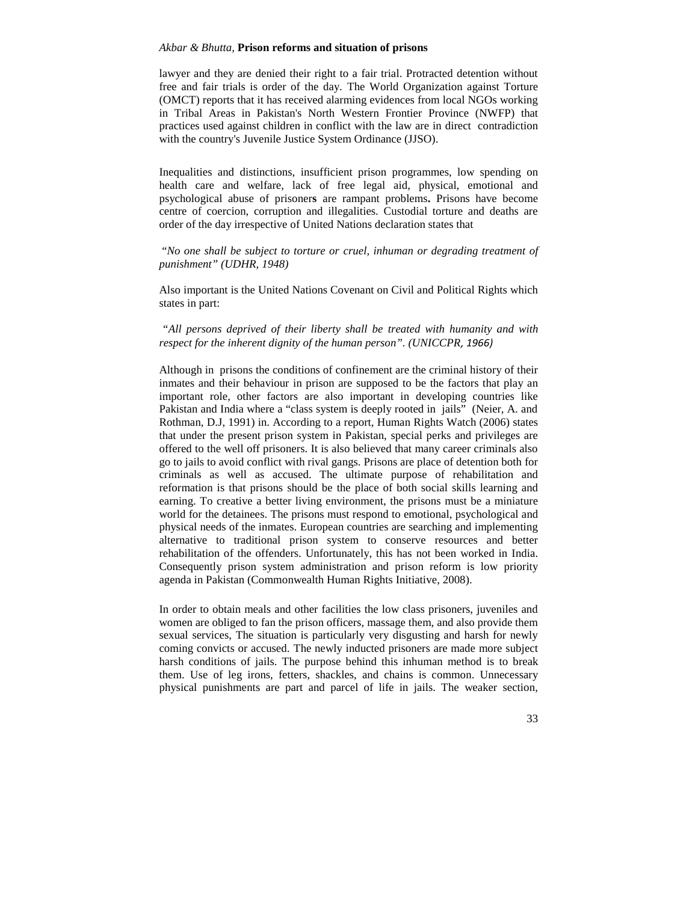lawyer and they are denied their right to a fair trial. Protracted detention without free and fair trials is order of the day. The World Organization against Torture (OMCT) reports that it has received alarming evidences from local NGOs working in Tribal Areas in Pakistan's North Western Frontier Province (NWFP) that practices used against children in conflict with the law are in direct contradiction with the country's Juvenile Justice System Ordinance (JJSO).

Inequalities and distinctions, insufficient prison programmes, low spending on health care and welfare, lack of free legal aid, physical, emotional and psychological abuse of prisoner**s** are rampant problems**.** Prisons have become centre of coercion, corruption and illegalities. Custodial torture and deaths are order of the day irrespective of United Nations declaration states that

"*No one shall be subject to torture or cruel, inhuman or degrading treatment of punishment" (UDHR, 1948)*

Also important is the United Nations Covenant on Civil and Political Rights which states in part:

*"All persons deprived of their liberty shall be treated with humanity and with respect for the inherent dignity of the human person". (UNICCPR, 1966)*

Although in prisons the conditions of confinement are the criminal history of their inmates and their behaviour in prison are supposed to be the factors that play an important role, other factors are also important in developing countries like Pakistan and India where a "class system is deeply rooted in jails" (Neier, A. and Rothman, D.J, 1991) in. According to a report, Human Rights Watch (2006) states that under the present prison system in Pakistan, special perks and privileges are offered to the well off prisoners. It is also believed that many career criminals also go to jails to avoid conflict with rival gangs. Prisons are place of detention both for criminals as well as accused. The ultimate purpose of rehabilitation and reformation is that prisons should be the place of both social skills learning and earning. To creative a better living environment, the prisons must be a miniature world for the detainees. The prisons must respond to emotional, psychological and physical needs of the inmates. European countries are searching and implementing alternative to traditional prison system to conserve resources and better rehabilitation of the offenders. Unfortunately, this has not been worked in India. Consequently prison system administration and prison reform is low priority agenda in Pakistan (Commonwealth Human Rights Initiative, 2008).

In order to obtain meals and other facilities the low class prisoners, juveniles and women are obliged to fan the prison officers, massage them, and also provide them sexual services, The situation is particularly very disgusting and harsh for newly coming convicts or accused. The newly inducted prisoners are made more subject harsh conditions of jails. The purpose behind this inhuman method is to break them. Use of leg irons, fetters, shackles, and chains is common. Unnecessary physical punishments are part and parcel of life in jails. The weaker section,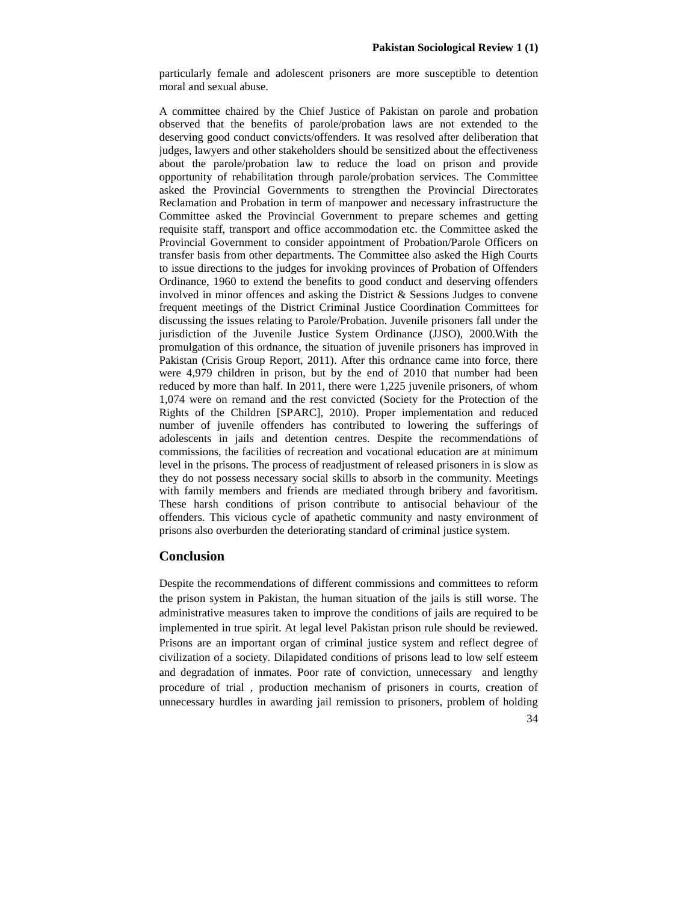particularly female and adolescent prisoners are more susceptible to detention moral and sexual abuse.

A committee chaired by the Chief Justice of Pakistan on parole and probation observed that the benefits of parole/probation laws are not extended to the deserving good conduct convicts/offenders. It was resolved after deliberation that judges, lawyers and other stakeholders should be sensitized about the effectiveness about the parole/probation law to reduce the load on prison and provide opportunity of rehabilitation through parole/probation services. The Committee asked the Provincial Governments to strengthen the Provincial Directorates Reclamation and Probation in term of manpower and necessary infrastructure the Committee asked the Provincial Government to prepare schemes and getting requisite staff, transport and office accommodation etc. the Committee asked the Provincial Government to consider appointment of Probation/Parole Officers on transfer basis from other departments. The Committee also asked the High Courts to issue directions to the judges for invoking provinces of Probation of Offenders Ordinance, 1960 to extend the benefits to good conduct and deserving offenders involved in minor offences and asking the District & Sessions Judges to convene frequent meetings of the District Criminal Justice Coordination Committees for discussing the issues relating to Parole/Probation. Juvenile prisoners fall under the jurisdiction of the Juvenile Justice System Ordinance (JJSO), 2000.With the promulgation of this ordnance, the situation of juvenile prisoners has improved in Pakistan (Crisis Group Report, 2011). After this ordnance came into force, there were 4,979 children in prison, but by the end of 2010 that number had been reduced by more than half. In 2011, there were 1,225 juvenile prisoners, of whom 1,074 were on remand and the rest convicted (Society for the Protection of the Rights of the Children [SPARC], 2010). Proper implementation and reduced number of juvenile offenders has contributed to lowering the sufferings of adolescents in jails and detention centres. Despite the recommendations of commissions, the facilities of recreation and vocational education are at minimum level in the prisons. The process of readjustment of released prisoners in is slow as they do not possess necessary social skills to absorb in the community. Meetings with family members and friends are mediated through bribery and favoritism. These harsh conditions of prison contribute to antisocial behaviour of the offenders. This vicious cycle of apathetic community and nasty environment of prisons also overburden the deteriorating standard of criminal justice system.

## **Conclusion**

Despite the recommendations of different commissions and committees to reform the prison system in Pakistan, the human situation of the jails is still worse. The administrative measures taken to improve the conditions of jails are required to be implemented in true spirit. At legal level Pakistan prison rule should be reviewed. Prisons are an important organ of criminal justice system and reflect degree of civilization of a society. Dilapidated conditions of prisons lead to low self esteem and degradation of inmates. Poor rate of conviction, unnecessary and lengthy procedure of trial , production mechanism of prisoners in courts, creation of unnecessary hurdles in awarding jail remission to prisoners, problem of holding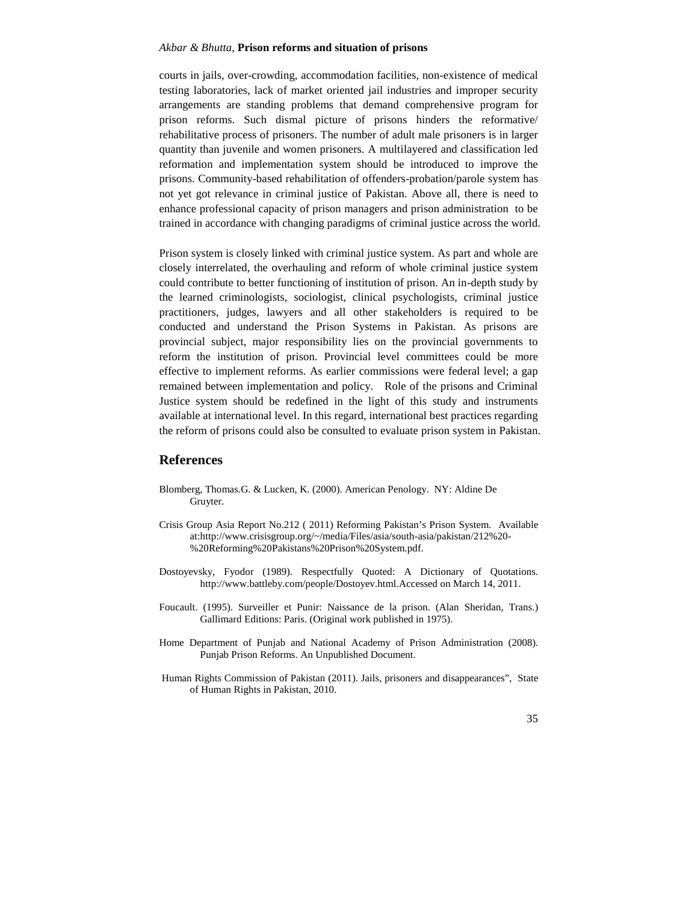courts in jails, over-crowding, accommodation facilities, non-existence of medical testing laboratories, lack of market oriented jail industries and improper security arrangements are standing problems that demand comprehensive program for prison reforms. Such dismal picture of prisons hinders the reformative/ rehabilitative process of prisoners. The number of adult male prisoners is in larger quantity than juvenile and women prisoners. A multilayered and classification led reformation and implementation system should be introduced to improve the prisons. Community-based rehabilitation of offenders-probation/parole system has not yet got relevance in criminal justice of Pakistan. Above all, there is need to enhance professional capacity of prison managers and prison administration to be trained in accordance with changing paradigms of criminal justice across the world.

Prison system is closely linked with criminal justice system. As part and whole are closely interrelated, the overhauling and reform of whole criminal justice system could contribute to better functioning of institution of prison. An in-depth study by the learned criminologists, sociologist, clinical psychologists, criminal justice practitioners, judges, lawyers and all other stakeholders is required to be conducted and understand the Prison Systems in Pakistan. As prisons are provincial subject, major responsibility lies on the provincial governments to reform the institution of prison. Provincial level committees could be more effective to implement reforms. As earlier commissions were federal level; a gap remained between implementation and policy. Role of the prisons and Criminal Justice system should be redefined in the light of this study and instruments available at international level. In this regard, international best practices regarding the reform of prisons could also be consulted to evaluate prison system in Pakistan.

## **References**

- Blomberg, Thomas.G. & Lucken, K. (2000). American Penology. NY: Aldine De Gruyter.
- Crisis Group Asia Report No.212 ( 2011) Reforming Pakistan's Prison System. Available at:http://www.crisisgroup.org/~/media/Files/asia/south-asia/pakistan/212%20- %20Reforming%20Pakistans%20Prison%20System.pdf.
- Dostoyevsky, Fyodor (1989). Respectfully Quoted: A Dictionary of Quotations. http://www.battleby.com/people/Dostoyev.html.Accessed on March 14, 2011.
- Foucault. (1995). Surveiller et Punir: Naissance de la prison. (Alan Sheridan, Trans.) Gallimard Editions: Paris. (Original work published in 1975).
- Home Department of Punjab and National Academy of Prison Administration (2008). Punjab Prison Reforms. An Unpublished Document.
- Human Rights Commission of Pakistan (2011). Jails, prisoners and disappearances", State of Human Rights in Pakistan, 2010.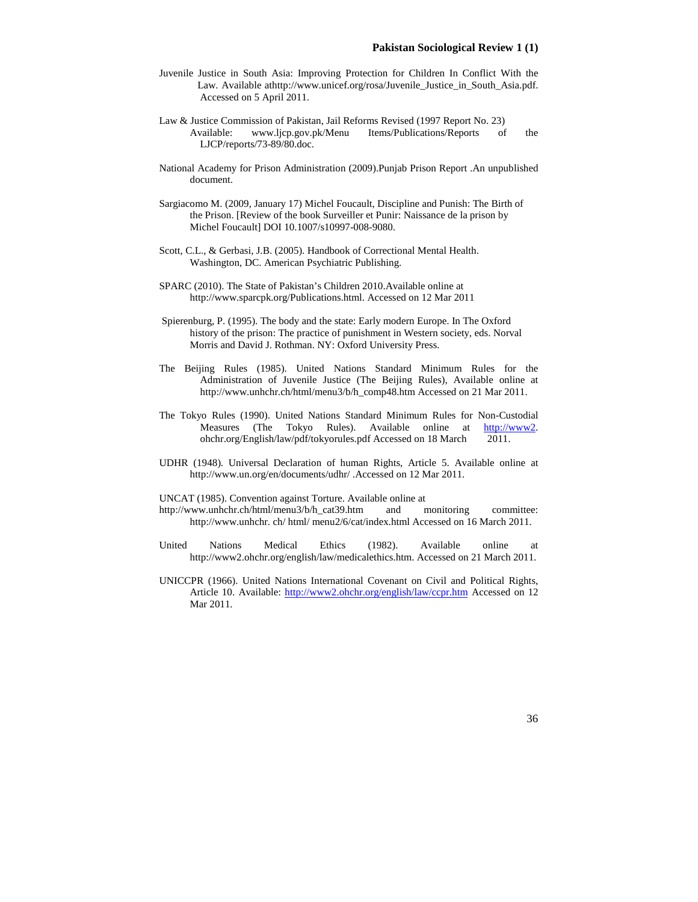- Juvenile Justice in South Asia: Improving Protection for Children In Conflict With the Law. Available athttp://www.unicef.org/rosa/Juvenile\_Justice\_in\_South\_Asia.pdf. Accessed on 5 April 2011.
- Law & Justice Commission of Pakistan, Jail Reforms Revised (1997 Report No. 23)<br>Available: www.ljcp.gov.pk/Menu Items/Publications/Reports of Available: www.ljcp.gov.pk/Menu Items/Publications/Reports of the LJCP/reports/73-89/80.doc.
- National Academy for Prison Administration (2009).Punjab Prison Report .An unpublished document.
- Sargiacomo M. (2009, January 17) Michel Foucault, Discipline and Punish: The Birth of the Prison. [Review of the book Surveiller et Punir: Naissance de la prison by Michel Foucault] DOI 10.1007/s10997-008-9080.
- Scott, C.L., & Gerbasi, J.B. (2005). Handbook of Correctional Mental Health. Washington, DC. American Psychiatric Publishing.
- SPARC (2010). The State of Pakistan's Children 2010.Available online at http://www.sparcpk.org/Publications.html. Accessed on 12 Mar 2011
- Spierenburg, P. (1995). The body and the state: Early modern Europe. In The Oxford history of the prison: The practice of punishment in Western society, eds. Norval Morris and David J. Rothman. NY: Oxford University Press.
- The Beijing Rules (1985). United Nations Standard Minimum Rules for the Administration of Juvenile Justice (The Beijing Rules), Available online at http://www.unhchr.ch/html/menu3/b/h\_comp48.htm Accessed on 21 Mar 2011.
- The Tokyo Rules (1990). United Nations Standard Minimum Rules for Non-Custodial Measures (The Tokyo Rules). Available online at http://www2. ohchr.org/English/law/pdf/tokyorules.pdf Accessed on 18 March 2011.
- UDHR (1948). Universal Declaration of human Rights, Article 5. Available online at http://www.un.org/en/documents/udhr/ .Accessed on 12 Mar 2011.

UNCAT (1985). Convention against Torture. Available online at

- http://www.unhchr.ch/html/menu3/b/h\_cat39.htm and monitoring committee: http://www.unhchr. ch/ html/ menu2/6/cat/index.html Accessed on 16 March 2011.
- United Nations Medical Ethics (1982). Available online at http://www2.ohchr.org/english/law/medicalethics.htm. Accessed on 21 March 2011.
- UNICCPR (1966). United Nations International Covenant on Civil and Political Rights, Article 10. Available: http://www2.ohchr.org/english/law/ccpr.htm Accessed on 12 Mar 2011.